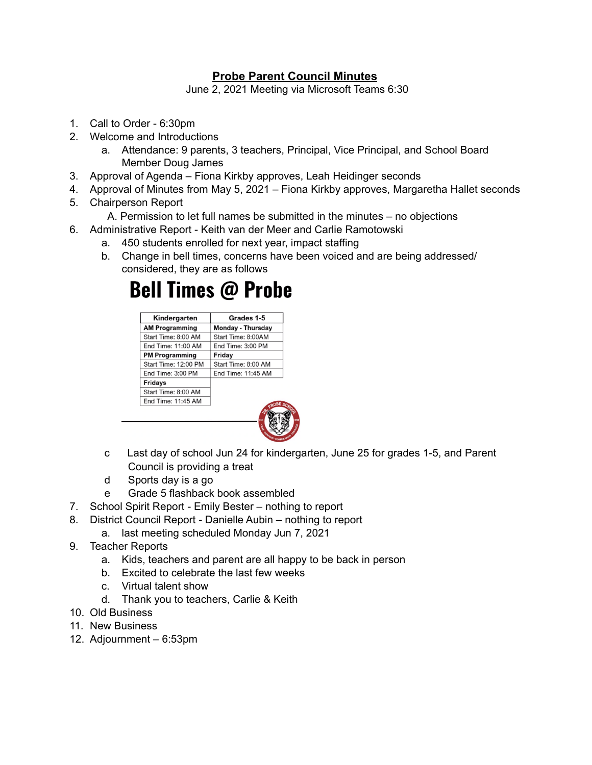## **Probe Parent Council Minutes**

June 2, 2021 Meeting via Microsoft Teams 6:30

- 1. Call to Order 6:30pm
- 2. Welcome and Introductions
	- a. Attendance: 9 parents, 3 teachers, Principal, Vice Principal, and School Board Member Doug James
- 3. Approval of Agenda Fiona Kirkby approves, Leah Heidinger seconds
- 4. Approval of Minutes from May 5, 2021 Fiona Kirkby approves, Margaretha Hallet seconds
- 5. Chairperson Report
	- A. Permission to let full names be submitted in the minutes no objections
- 6. Administrative Report Keith van der Meer and Carlie Ramotowski
	- a. 450 students enrolled for next year, impact staffing
	- b. Change in bell times, concerns have been voiced and are being addressed/ considered, they are as follows

## **Bell Times @ Probe**



- c Last day of school Jun 24 for kindergarten, June 25 for grades 1-5, and Parent Council is providing a treat
- d Sports day is a go
- e Grade 5 flashback book assembled
- 7. School Spirit Report Emily Bester nothing to report
- 8. District Council Report Danielle Aubin nothing to report
	- a. last meeting scheduled Monday Jun 7, 2021
- 9. Teacher Reports
	- a. Kids, teachers and parent are all happy to be back in person
	- b. Excited to celebrate the last few weeks
	- c. Virtual talent show
	- d. Thank you to teachers, Carlie & Keith
- 10. Old Business
- 11. New Business
- 12. Adjournment 6:53pm